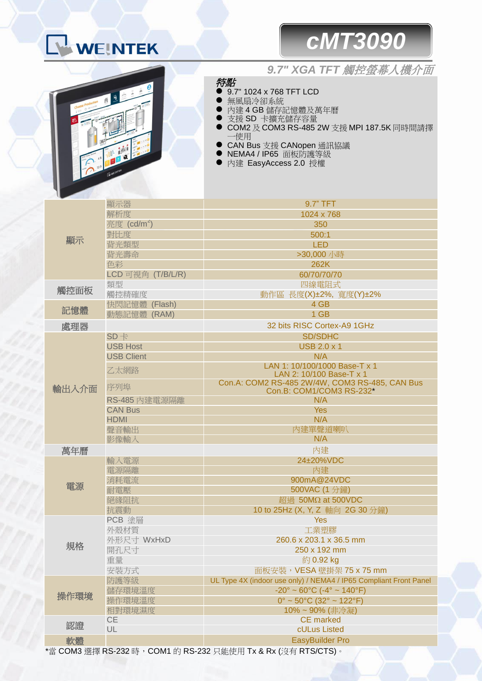## WEINTEK

## *cMT3090*



## *9.7" XGA TFT* 觸控螢幕人機介面

- 特點 9.7" 1024 x 768 TFT LCD
- 無風扇冷卻系統
- 內建4GB儲存記憶體及萬年曆
- 支援 SD 卡擴充儲存容量
- COM2 及 COM3 RS-485 2W 支援 MPI 187.5K 同時間請擇 一使用
- CAN Bus 支援 CANopen 通訊協議
- NEMA4 / IP65 面板防護等級
- 內建 EasyAccess 2.0 授權

| 顯示    | 顯示器                     | 9.7" TFT                                                                   |
|-------|-------------------------|----------------------------------------------------------------------------|
|       | 解析度                     | 1024 x 768                                                                 |
|       | 亮度 (cd/m <sup>2</sup> ) | 350                                                                        |
|       | 對比度                     | 500:1                                                                      |
|       | 背光類型                    | <b>LED</b>                                                                 |
|       | 背光壽命                    | >30,000 小時                                                                 |
|       | 色彩                      | 262K                                                                       |
|       | LCD 可視角 (T/B/L/R)       | 60/70/70/70                                                                |
| 觸控面板  | 類型                      | 四線電阻式                                                                      |
|       | 觸控精確度                   | 動作區 長度(X)±2%, 寬度(Y)±2%                                                     |
| 記憶體   | 快閃記憶體 (Flash)           | 4 GB                                                                       |
|       | 動態記憶體 (RAM)             | 1 GB                                                                       |
| 處理器   |                         | 32 bits RISC Cortex-A9 1GHz                                                |
| 輸出入介面 | $SD +$                  | <b>SD/SDHC</b>                                                             |
|       | <b>USB Host</b>         | <b>USB 2.0 x 1</b>                                                         |
|       | <b>USB Client</b>       | N/A                                                                        |
|       | 乙太網路                    | LAN 1: 10/100/1000 Base-T x 1<br>LAN 2: 10/100 Base-T x 1                  |
|       | 序列埠                     | Con.A: COM2 RS-485 2W/4W, COM3 RS-485, CAN Bus<br>Con.B: COM1/COM3 RS-232* |
|       | RS-485 內建電源隔離           | N/A                                                                        |
|       | <b>CAN Bus</b>          | <b>Yes</b>                                                                 |
|       | <b>HDMI</b>             | N/A                                                                        |
|       | 聲音輸出                    | 内建單聲道喇叭                                                                    |
|       | 影像輸入                    | N/A                                                                        |
| 萬年曆   |                         | 內建                                                                         |
|       | 輸入電源                    | 24±20%VDC                                                                  |
|       | 電源隔離                    | 內建                                                                         |
|       | 消耗電流                    | 900mA@24VDC                                                                |
| 電源    | 耐電壓                     | 500VAC (1分鐘)                                                               |
|       | 絕緣阻抗                    | 超過 50MΩ at 500VDC                                                          |
|       | 抗震動                     | 10 to 25Hz (X, Y, Z 軸向 2G 30 分鐘)                                           |
| 規格    | PCB 塗層                  | <b>Yes</b>                                                                 |
|       | 外殼材質                    | 工業塑膠                                                                       |
|       | 外形尺寸 WxHxD              | 260.6 x 203.1 x 36.5 mm                                                    |
|       | 開孔尺寸                    | 250 x 192 mm                                                               |
|       | 重量                      | 約0.92 kg                                                                   |
|       | 安裝方式                    | 面板安裝, VESA 壁掛架 75 x 75 mm                                                  |
| 操作環境  | 防護等級                    | UL Type 4X (indoor use only) / NEMA4 / IP65 Compliant Front Panel          |
|       | 儲存環境溫度                  | $-20^{\circ} \sim 60^{\circ}$ C ( $-4^{\circ} \sim 140^{\circ}$ F)         |
|       | 操作環境溫度                  | $0^{\circ}$ ~ 50 $^{\circ}$ C (32 $^{\circ}$ ~ 122 $^{\circ}$ F)           |
|       | 相對環境濕度                  | 10%~90% (非冷凝)                                                              |
| 認證    | CE                      | <b>CE</b> marked                                                           |
|       | UL                      | cULus Listed                                                               |
| 軟體    |                         | <b>EasyBuilder Pro</b>                                                     |
|       |                         | '當 COM3 選擇 RS-232 時,COM1 的 RS-232 只能使用 Tx & Rx (沒有 RTS/CTS)。               |